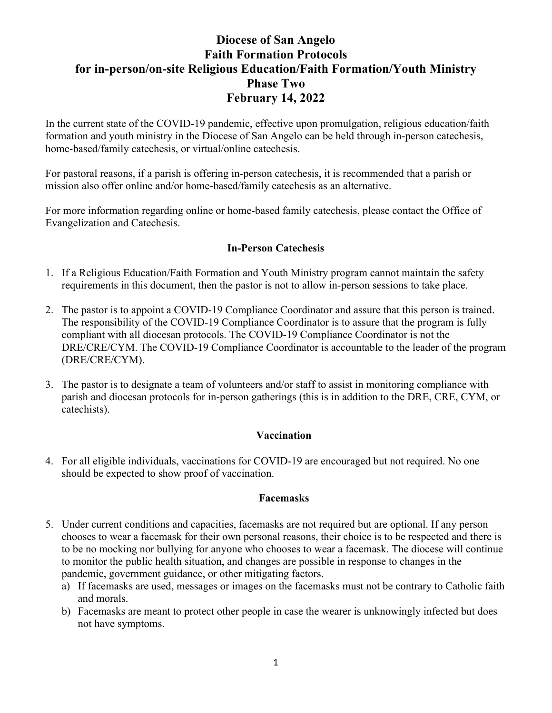# **Diocese of San Angelo Faith Formation Protocols for in-person/on-site Religious Education/Faith Formation/Youth Ministry Phase Two February 14, 2022**

In the current state of the COVID-19 pandemic, effective upon promulgation, religious education/faith formation and youth ministry in the Diocese of San Angelo can be held through in-person catechesis, home-based/family catechesis, or virtual/online catechesis.

For pastoral reasons, if a parish is offering in-person catechesis, it is recommended that a parish or mission also offer online and/or home-based/family catechesis as an alternative.

For more information regarding online or home-based family catechesis, please contact the Office of Evangelization and Catechesis.

# **In-Person Catechesis**

- 1. If a Religious Education/Faith Formation and Youth Ministry program cannot maintain the safety requirements in this document, then the pastor is not to allow in-person sessions to take place.
- 2. The pastor is to appoint a COVID-19 Compliance Coordinator and assure that this person is trained. The responsibility of the COVID-19 Compliance Coordinator is to assure that the program is fully compliant with all diocesan protocols. The COVID-19 Compliance Coordinator is not the DRE/CRE/CYM. The COVID-19 Compliance Coordinator is accountable to the leader of the program (DRE/CRE/CYM).
- 3. The pastor is to designate a team of volunteers and/or staff to assist in monitoring compliance with parish and diocesan protocols for in-person gatherings (this is in addition to the DRE, CRE, CYM, or catechists).

### **Vaccination**

4. For all eligible individuals, vaccinations for COVID-19 are encouraged but not required. No one should be expected to show proof of vaccination.

### **Facemasks**

- 5. Under current conditions and capacities, facemasks are not required but are optional. If any person chooses to wear a facemask for their own personal reasons, their choice is to be respected and there is to be no mocking nor bullying for anyone who chooses to wear a facemask. The diocese will continue to monitor the public health situation, and changes are possible in response to changes in the pandemic, government guidance, or other mitigating factors.
	- a) If facemasks are used, messages or images on the facemasks must not be contrary to Catholic faith and morals.
	- b) Facemasks are meant to protect other people in case the wearer is unknowingly infected but does not have symptoms.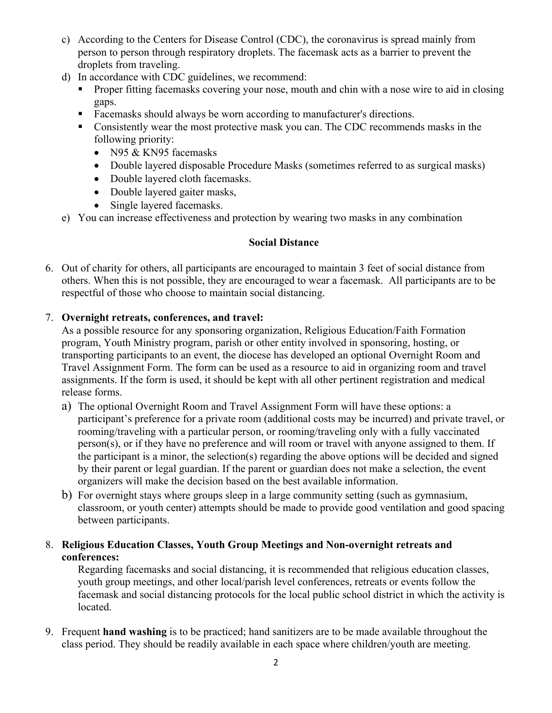- c) According to the Centers for Disease Control (CDC), the coronavirus is spread mainly from person to person through respiratory droplets. The facemask acts as a barrier to prevent the droplets from traveling.
- d) In accordance with CDC guidelines, we recommend:
	- § Proper fitting facemasks covering your nose, mouth and chin with a nose wire to aid in closing gaps.
	- Facemasks should always be worn according to manufacturer's directions.
	- Consistently wear the most protective mask you can. The CDC recommends masks in the following priority:
		- N95 & KN95 facemasks
		- Double layered disposable Procedure Masks (sometimes referred to as surgical masks)
		- Double layered cloth facemasks.
		- Double layered gaiter masks,
		- Single layered facemasks.
- e) You can increase effectiveness and protection by wearing two masks in any combination

# **Social Distance**

6. Out of charity for others, all participants are encouraged to maintain 3 feet of social distance from others. When this is not possible, they are encouraged to wear a facemask. All participants are to be respectful of those who choose to maintain social distancing.

### 7. **Overnight retreats, conferences, and travel:**

As a possible resource for any sponsoring organization, Religious Education/Faith Formation program, Youth Ministry program, parish or other entity involved in sponsoring, hosting, or transporting participants to an event, the diocese has developed an optional Overnight Room and Travel Assignment Form. The form can be used as a resource to aid in organizing room and travel assignments. If the form is used, it should be kept with all other pertinent registration and medical release forms.

- a) The optional Overnight Room and Travel Assignment Form will have these options: a participant's preference for a private room (additional costs may be incurred) and private travel, or rooming/traveling with a particular person, or rooming/traveling only with a fully vaccinated person(s), or if they have no preference and will room or travel with anyone assigned to them. If the participant is a minor, the selection(s) regarding the above options will be decided and signed by their parent or legal guardian. If the parent or guardian does not make a selection, the event organizers will make the decision based on the best available information.
- b) For overnight stays where groups sleep in a large community setting (such as gymnasium, classroom, or youth center) attempts should be made to provide good ventilation and good spacing between participants.

# 8. **Religious Education Classes, Youth Group Meetings and Non-overnight retreats and conferences:**

Regarding facemasks and social distancing, it is recommended that religious education classes, youth group meetings, and other local/parish level conferences, retreats or events follow the facemask and social distancing protocols for the local public school district in which the activity is located.

9. Frequent **hand washing** is to be practiced; hand sanitizers are to be made available throughout the class period. They should be readily available in each space where children/youth are meeting.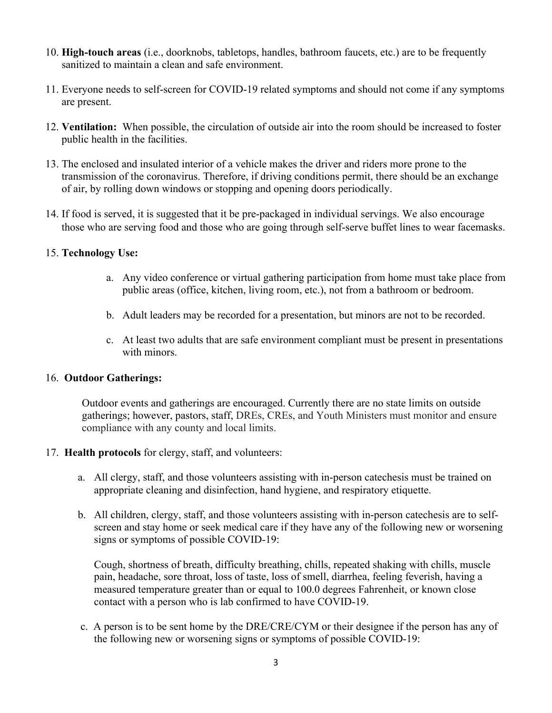- 10. **High-touch areas** (i.e., doorknobs, tabletops, handles, bathroom faucets, etc.) are to be frequently sanitized to maintain a clean and safe environment.
- 11. Everyone needs to self-screen for COVID-19 related symptoms and should not come if any symptoms are present.
- 12. **Ventilation:** When possible, the circulation of outside air into the room should be increased to foster public health in the facilities.
- 13. The enclosed and insulated interior of a vehicle makes the driver and riders more prone to the transmission of the coronavirus. Therefore, if driving conditions permit, there should be an exchange of air, by rolling down windows or stopping and opening doors periodically.
- 14. If food is served, it is suggested that it be pre-packaged in individual servings. We also encourage those who are serving food and those who are going through self-serve buffet lines to wear facemasks.

#### 15. **Technology Use:**

- a. Any video conference or virtual gathering participation from home must take place from public areas (office, kitchen, living room, etc.), not from a bathroom or bedroom.
- b. Adult leaders may be recorded for a presentation, but minors are not to be recorded.
- c. At least two adults that are safe environment compliant must be present in presentations with minors.

#### 16. **Outdoor Gatherings:**

Outdoor events and gatherings are encouraged. Currently there are no state limits on outside gatherings; however, pastors, staff, DREs, CREs, and Youth Ministers must monitor and ensure compliance with any county and local limits.

#### 17. **Health protocols** for clergy, staff, and volunteers:

- a. All clergy, staff, and those volunteers assisting with in-person catechesis must be trained on appropriate cleaning and disinfection, hand hygiene, and respiratory etiquette.
- b. All children, clergy, staff, and those volunteers assisting with in-person catechesis are to selfscreen and stay home or seek medical care if they have any of the following new or worsening signs or symptoms of possible COVID-19:

Cough, shortness of breath, difficulty breathing, chills, repeated shaking with chills, muscle pain, headache, sore throat, loss of taste, loss of smell, diarrhea, feeling feverish, having a measured temperature greater than or equal to 100.0 degrees Fahrenheit, or known close contact with a person who is lab confirmed to have COVID-19.

 c. A person is to be sent home by the DRE/CRE/CYM or their designee if the person has any of the following new or worsening signs or symptoms of possible COVID-19: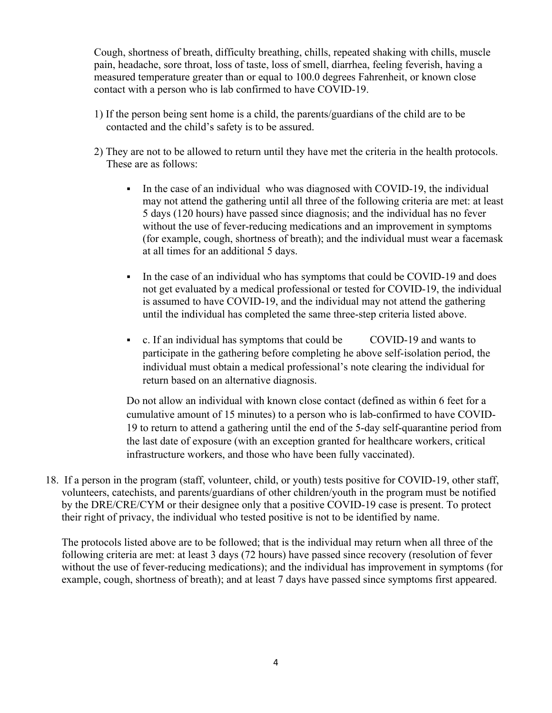Cough, shortness of breath, difficulty breathing, chills, repeated shaking with chills, muscle pain, headache, sore throat, loss of taste, loss of smell, diarrhea, feeling feverish, having a measured temperature greater than or equal to 100.0 degrees Fahrenheit, or known close contact with a person who is lab confirmed to have COVID-19.

- 1) If the person being sent home is a child, the parents/guardians of the child are to be contacted and the child's safety is to be assured.
- 2) They are not to be allowed to return until they have met the criteria in the health protocols. These are as follows:
	- In the case of an individual who was diagnosed with COVID-19, the individual may not attend the gathering until all three of the following criteria are met: at least 5 days (120 hours) have passed since diagnosis; and the individual has no fever without the use of fever-reducing medications and an improvement in symptoms (for example, cough, shortness of breath); and the individual must wear a facemask at all times for an additional 5 days.
	- In the case of an individual who has symptoms that could be COVID-19 and does not get evaluated by a medical professional or tested for COVID-19, the individual is assumed to have COVID-19, and the individual may not attend the gathering until the individual has completed the same three-step criteria listed above.
	- c. If an individual has symptoms that could be COVID-19 and wants to participate in the gathering before completing he above self-isolation period, the individual must obtain a medical professional's note clearing the individual for return based on an alternative diagnosis.

Do not allow an individual with known close contact (defined as within 6 feet for a cumulative amount of 15 minutes) to a person who is lab-confirmed to have COVID-19 to return to attend a gathering until the end of the 5-day self-quarantine period from the last date of exposure (with an exception granted for healthcare workers, critical infrastructure workers, and those who have been fully vaccinated).

18. If a person in the program (staff, volunteer, child, or youth) tests positive for COVID-19, other staff, volunteers, catechists, and parents/guardians of other children/youth in the program must be notified by the DRE/CRE/CYM or their designee only that a positive COVID-19 case is present. To protect their right of privacy, the individual who tested positive is not to be identified by name.

The protocols listed above are to be followed; that is the individual may return when all three of the following criteria are met: at least 3 days (72 hours) have passed since recovery (resolution of fever without the use of fever-reducing medications); and the individual has improvement in symptoms (for example, cough, shortness of breath); and at least 7 days have passed since symptoms first appeared.